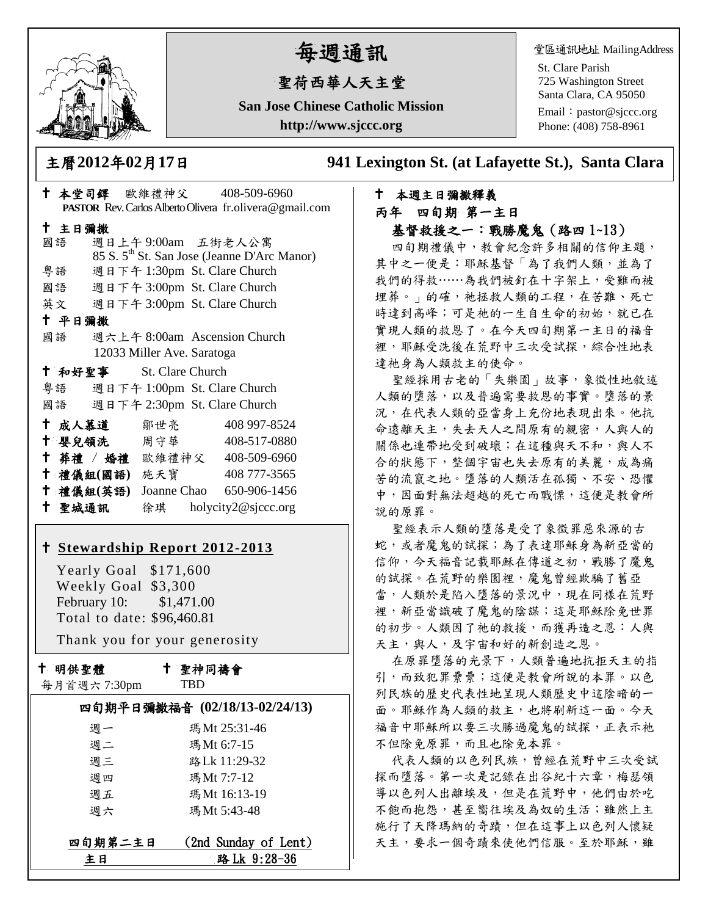

# 每週通訊

## 聖荷西華人天主堂

**San Jose Chinese Catholic Mission http://www.sjccc.org**

堂區通訊地址 MailingAddress

St. Clare Parish 725 Washington Street Santa Clara, CA 95050

Email: [pastor@sjccc.org](mailto:pastor@sjccc.org) Phone: (408) 758-8961

主曆**2012**年**02**月**17**日 **941 Lexington St. (at Lafayette St.), Santa Clara** 

#### 本堂司鐸 歐維禮神父 408-509-6960 **PASTOR** Rev. Carlos Alberto Olivera fr.olivera@gmail.com 主日彌撒 國語 週日上午 9:00am 五街老人公寓 85 S. 5th St. San Jose (Jeanne D'Arc Manor) 粵語 週日下午 1:30pm St. Clare Church 國語 週日下午 3:00pm St. Clare Church 英文 週日下午 3:00pm St. Clare Church 平日彌撒 國語 週六上午 8:00am Ascension Church 12033 Miller Ave. Saratoga 和好聖事 St. Clare Church 粵語 週日下午 1:00pm St. Clare Church 國語 週日下午 2:30pm St. Clare Church 成人慕道 鄒世亮 408 997-8524 十 嬰兒領洗 周守華 408-517-0880 葬禮 / 婚禮 歐維禮神父 408-509-6960 禮儀組**(**國語**)** 施天寶 408 777-3565 禮儀組**(**英語**)** Joanne Chao 650-906-1456 聖城通訊 徐琪 holycity2@sjccc.org

#### **[Stewardship Report 2012-2013](http://sjccc.org/index.php/finance.html?src=bulletin112512)**

 Yearly Goal \$171,600 Weekly Goal \$3,300 February 10: \$1,471.00 Total to date: \$96,460.81

Thank you for your generosity

十 明供聖體

聖神同禱會

|  |  | 每月首週六7:30pm |
|--|--|-------------|
|--|--|-------------|

#### TBD

| 四旬期平日彌撒福音 (02/18/13-02/24/13) |                      |  |  |
|-------------------------------|----------------------|--|--|
| 週一                            | 瑪Mt 25:31-46         |  |  |
| 週二                            | 瑪Mt 6:7-15           |  |  |
| 週三                            | 路Lk 11:29-32         |  |  |
| 週四                            | 瑪Mt 7:7-12           |  |  |
| 週五                            | 瑪Mt 16:13-19         |  |  |
| 调六                            | 瑪Mt 5:43-48          |  |  |
|                               |                      |  |  |
| 四旬期第二主日                       | (2nd Sunday of Lent) |  |  |
| ‡ Β                           | 路 Lk 9:28-36         |  |  |

#### 本週主日彌撒釋義 丙年 四旬期 第一主日 基督救援之一:戰勝魔鬼(路四 1~13)

四旬期禮儀中,教會紀念許多相關的信仰主題, 其中之一便是:耶穌基督「為了我們人類,並為了 我們的得救……為我們被釘在十字架上,受難而被 埋葬。」的確,祂拯救人類的工程,在苦難、死亡 時達到高峰;可是祂的一生自生命的初始,就已在 實現人類的救恩了。在今天四旬期第一主日的福音 裡,耶穌受洗後在荒野中三次受試探,綜合性地表 達祂身為人類救主的使命。

聖經採用古老的「失樂園」故事,象徵性地敘述 人類的墮落,以及普遍需要救恩的事實。墮落的景 況,在代表人類的亞當身上充份地表現出來。他抗 命遠離天主,失去天人之間原有的親密,人與人的 關係也連帶地受到破壞;在這種與天不和,與人不 合的狀態下,整個宇宙也失去原有的美麗,成為痛 苦的流竄之地。墮落的人類活在孤獨、不安、恐懼 中,因面對無法超越的死亡而戰慄,這便是教會所 說的原罪。

聖經表示人類的墮落是受了象徵罪惡來源的古 蛇,或者魔鬼的試探;為了表達耶穌身為新亞當的 信仰,今天福音記載耶穌在傳道之初,戰勝了魔鬼 的試探。在荒野的樂園裡,魔鬼曾經欺騙了舊亞 當,人類於是陷入墮落的景況中,現在同樣在荒野 裡,新亞當識破了魔鬼的陰謀;這是耶穌除免世罪 的初步。人類因了祂的救援,而獲再造之恩:人與 天主,與人,及宇宙和好的新創造之恩。

在原罪墮落的光景下,人類普遍地抗拒天主的指 引,而致犯罪纍纍;這便是教會所說的本罪。以色 列民族的歷史代表性地呈現人類歷史中這陰暗的一 面。耶穌作為人類的救主,也將刷新這一面。今天 福音中耶穌所以要三次勝過魔鬼的試探,正表示祂 不但除免原罪,而且也除免本罪。

代表人類的以色列民族,曾經在荒野中三次受試 探而墮落。第一次是記錄在出谷紀十六章,梅瑟領 導以色列人出離埃及,但是在荒野中,他們由於吃 不飽而抱怨,甚至嚮往埃及為奴的生活;雖然上主 施行了天降瑪納的奇蹟,但在這事上以色列人懷疑 天主,要求一個奇蹟來使他們信服。至於耶穌,雖